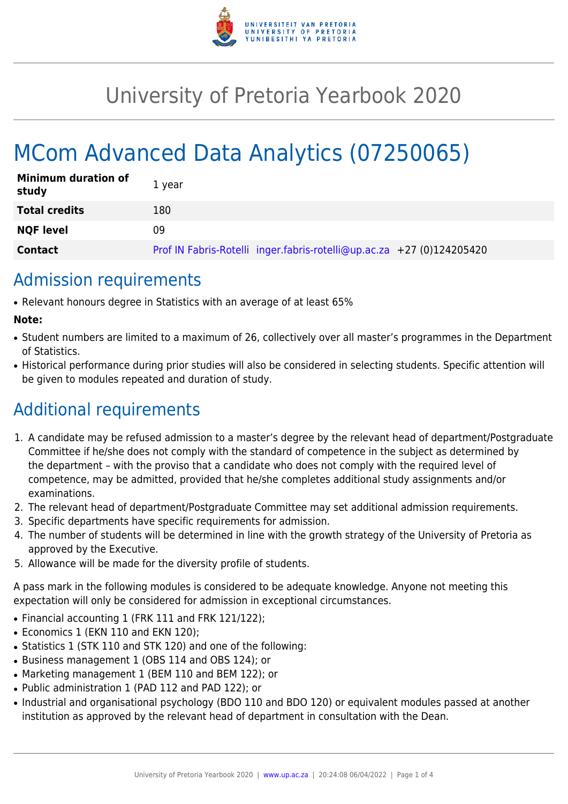

## University of Pretoria Yearbook 2020

# MCom Advanced Data Analytics (07250065)

| <b>Minimum duration of</b><br>study | 1 year                                                                |
|-------------------------------------|-----------------------------------------------------------------------|
| <b>Total credits</b>                | 180                                                                   |
| <b>NQF level</b>                    | 09                                                                    |
| <b>Contact</b>                      | Prof IN Fabris-Rotelli inger.fabris-rotelli@up.ac.za +27 (0)124205420 |

### Admission requirements

● Relevant honours degree in Statistics with an average of at least 65%

#### **Note:**

- Student numbers are limited to a maximum of 26, collectively over all master's programmes in the Department of Statistics.
- Historical performance during prior studies will also be considered in selecting students. Specific attention will be given to modules repeated and duration of study.

### Additional requirements

- 1. A candidate may be refused admission to a master's degree by the relevant head of department/Postgraduate Committee if he/she does not comply with the standard of competence in the subject as determined by the department – with the proviso that a candidate who does not comply with the required level of competence, may be admitted, provided that he/she completes additional study assignments and/or examinations.
- 2. The relevant head of department/Postgraduate Committee may set additional admission requirements.
- 3. Specific departments have specific requirements for admission.
- 4. The number of students will be determined in line with the growth strategy of the University of Pretoria as approved by the Executive.
- 5. Allowance will be made for the diversity profile of students.

A pass mark in the following modules is considered to be adequate knowledge. Anyone not meeting this expectation will only be considered for admission in exceptional circumstances.

- Financial accounting 1 (FRK 111 and FRK 121/122);
- Economics 1 (EKN 110 and EKN 120):
- Statistics 1 (STK 110 and STK 120) and one of the following:
- Business management 1 (OBS 114 and OBS 124); or
- Marketing management 1 (BEM 110 and BEM 122); or
- Public administration 1 (PAD 112 and PAD 122); or
- Industrial and organisational psychology (BDO 110 and BDO 120) or equivalent modules passed at another institution as approved by the relevant head of department in consultation with the Dean.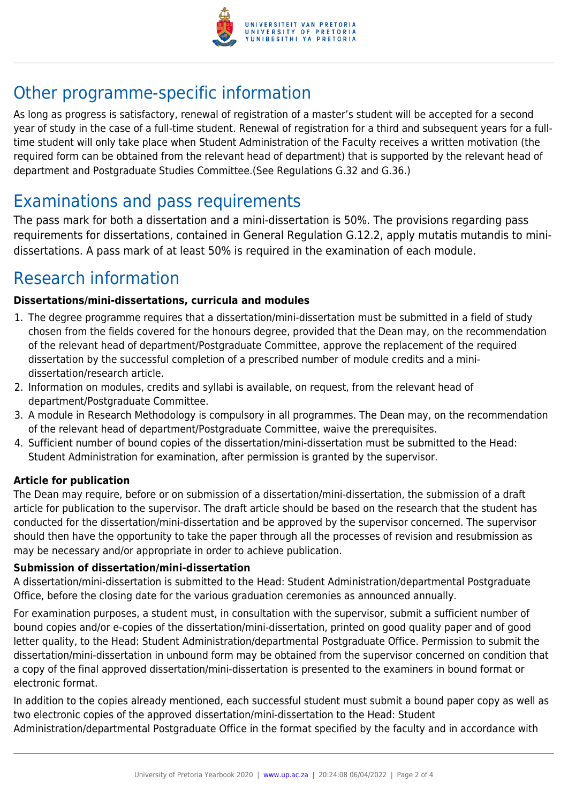

### Other programme-specific information

As long as progress is satisfactory, renewal of registration of a master's student will be accepted for a second year of study in the case of a full-time student. Renewal of registration for a third and subsequent years for a fulltime student will only take place when Student Administration of the Faculty receives a written motivation (the required form can be obtained from the relevant head of department) that is supported by the relevant head of department and Postgraduate Studies Committee.(See Regulations G.32 and G.36.)

### Examinations and pass requirements

The pass mark for both a dissertation and a mini-dissertation is 50%. The provisions regarding pass requirements for dissertations, contained in General Regulation G.12.2, apply mutatis mutandis to minidissertations. A pass mark of at least 50% is required in the examination of each module.

### Research information

#### **Dissertations/mini-dissertations, curricula and modules**

- 1. The degree programme requires that a dissertation/mini-dissertation must be submitted in a field of study chosen from the fields covered for the honours degree, provided that the Dean may, on the recommendation of the relevant head of department/Postgraduate Committee, approve the replacement of the required dissertation by the successful completion of a prescribed number of module credits and a minidissertation/research article.
- 2. Information on modules, credits and syllabi is available, on request, from the relevant head of department/Postgraduate Committee.
- 3. A module in Research Methodology is compulsory in all programmes. The Dean may, on the recommendation of the relevant head of department/Postgraduate Committee, waive the prerequisites.
- 4. Sufficient number of bound copies of the dissertation/mini-dissertation must be submitted to the Head: Student Administration for examination, after permission is granted by the supervisor.

#### **Article for publication**

The Dean may require, before or on submission of a dissertation/mini-dissertation, the submission of a draft article for publication to the supervisor. The draft article should be based on the research that the student has conducted for the dissertation/mini-dissertation and be approved by the supervisor concerned. The supervisor should then have the opportunity to take the paper through all the processes of revision and resubmission as may be necessary and/or appropriate in order to achieve publication.

#### **Submission of dissertation/mini-dissertation**

A dissertation/mini-dissertation is submitted to the Head: Student Administration/departmental Postgraduate Office, before the closing date for the various graduation ceremonies as announced annually.

For examination purposes, a student must, in consultation with the supervisor, submit a sufficient number of bound copies and/or e-copies of the dissertation/mini-dissertation, printed on good quality paper and of good letter quality, to the Head: Student Administration/departmental Postgraduate Office. Permission to submit the dissertation/mini-dissertation in unbound form may be obtained from the supervisor concerned on condition that a copy of the final approved dissertation/mini-dissertation is presented to the examiners in bound format or electronic format.

In addition to the copies already mentioned, each successful student must submit a bound paper copy as well as two electronic copies of the approved dissertation/mini-dissertation to the Head: Student

Administration/departmental Postgraduate Office in the format specified by the faculty and in accordance with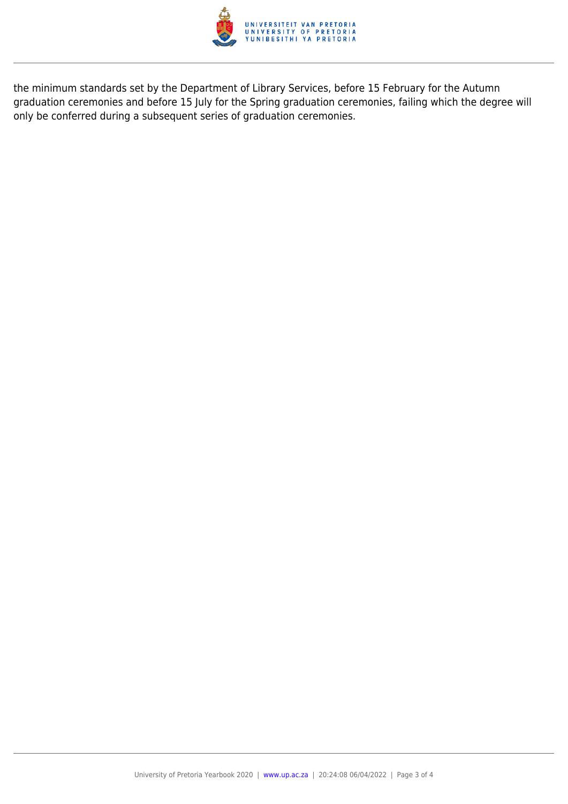

the minimum standards set by the Department of Library Services, before 15 February for the Autumn graduation ceremonies and before 15 July for the Spring graduation ceremonies, failing which the degree will only be conferred during a subsequent series of graduation ceremonies.